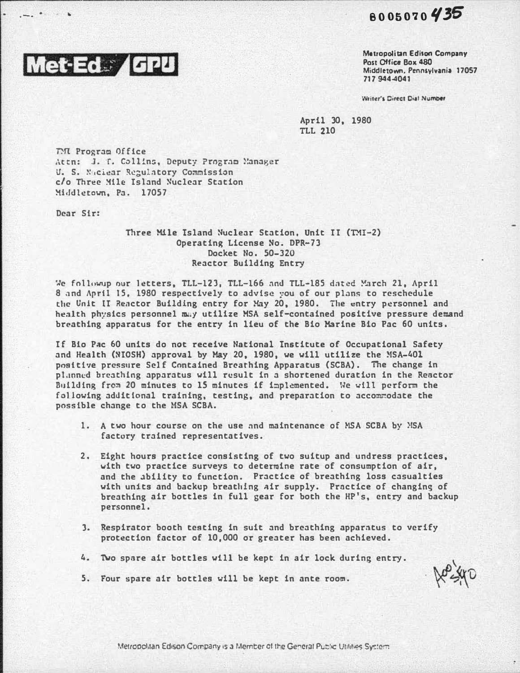$8005070435$ 



r----------------��--�----·---------------

Metropolitan Edlton Company Post Office Box 480 Middletown. Pennsylvania 17057 717 944-4041

Writer's Direct Dial Number

April 30, 1980 TLL 210

TM Program Office Attn: J. T. Collins, Deputy Program Manager U. S. Naciear Regulatory Commission c/o Three Mile Island Nuclear Station Middletown, Pa. 17057

Dear Sir:

Three Mile Island Nuclear Station, Unit II (TMI-2) Operating License No. DPR-73 Docket No. 50-320 Reactor Building Entry

We followup our letters, TLL-123, TLL-166 and TLL-185 dated March 21, April 8 and April 15, 1980 respectively to advise you of our plans to reschedule the Unit II Reactor Building entry for May 20, 1980. The entry personnel and health physics personnel may utilize MSA self-contained positive pressure demand breathing apparatus for the entry in lieu of the Bio Marine Bio Pac 60 units.

If Bio Pac 60 units do not receive National Institute of Occupational Safety and Health (NIOSH) approval by May 20, 1980, we will utilize the MSA-401 positive pressure Self Contained Breathing Apparatus (SCBA). The change in pl.mncd breathing apparatus will result in a shortened duration in the Reactor Building from 20 minutes to 15 minutes if implemented. We will perform the following additional training, testing, and preparation to accommodate the possible change to the MSA SCBA.

- 1. A two hour course on the use and maintenance of HSA SCBA by NSA factory trained representatives.
- 2. Eight hours practice consisting of two suitup and undress practices, with two practice surveys to determine rate of consumption of air, and the ability to function. Practice of breathing loss casualties with units and backup breathing air supply. Practice of changing of breathing air bottles in full gear for both the HP's, entry and backup personnel.
- 3. �espirator booth testing in suit and breathing apparatus to verify protection factor of 10,000 or greater has been achieved.
- 4. Two spare air bottles will be kept in air lock during entry.

S. Four spare air bottles will be kept in ante room.